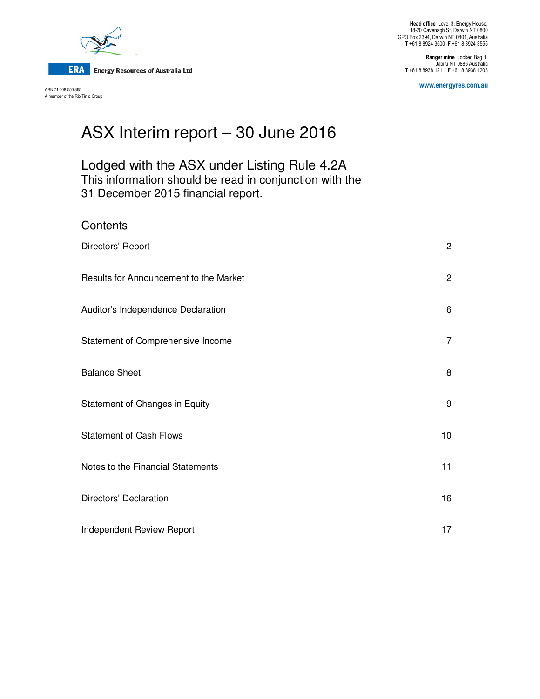

**Contents** 

ABN 71 008 550 865 A member of the Rio Tinto Group

**Ranger mine** Locked Bag 1, Jabiru NT 0886 Australia **T** +61 8 8938 1211 **F** +61 8 8938 1203

**www.energyres.com.au** 

# ASX Interim report – 30 June 2016

## Lodged with the ASX under Listing Rule 4.2A This information should be read in conjunction with the 31 December 2015 financial report.

| Directors' Report                      | $\overline{2}$ |
|----------------------------------------|----------------|
| Results for Announcement to the Market | $\overline{c}$ |
| Auditor's Independence Declaration     | 6              |
| Statement of Comprehensive Income      | $\overline{7}$ |
| <b>Balance Sheet</b>                   | 8              |
| Statement of Changes in Equity         | 9              |
| <b>Statement of Cash Flows</b>         | 10             |
| Notes to the Financial Statements      | 11             |
| Directors' Declaration                 | 16             |
| Independent Review Report              | 17             |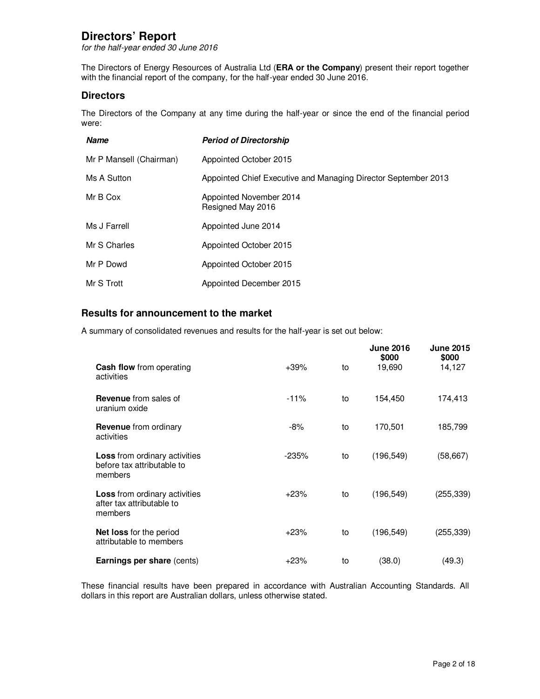## **Directors' Report**

for the half-year ended 30 June 2016

The Directors of Energy Resources of Australia Ltd (**ERA or the Company**) present their report together with the financial report of the company, for the half-year ended 30 June 2016.

## **Directors**

The Directors of the Company at any time during the half-year or since the end of the financial period were:

| <b>Name</b>             | <b>Period of Directorship</b>                                  |
|-------------------------|----------------------------------------------------------------|
| Mr P Mansell (Chairman) | Appointed October 2015                                         |
| Ms A Sutton             | Appointed Chief Executive and Managing Director September 2013 |
| Mr B Cox                | Appointed November 2014<br>Resigned May 2016                   |
| Ms J Farrell            | Appointed June 2014                                            |
| Mr S Charles            | Appointed October 2015                                         |
| Mr P Dowd               | Appointed October 2015                                         |
| Mr S Trott              | Appointed December 2015                                        |

## **Results for announcement to the market**

A summary of consolidated revenues and results for the half-year is set out below:

|                                                                               |         |    | <b>June 2016</b><br>\$000 | <b>June 2015</b><br>\$000 |
|-------------------------------------------------------------------------------|---------|----|---------------------------|---------------------------|
| Cash flow from operating<br>activities                                        | $+39%$  | to | 19,690                    | 14,127                    |
| <b>Revenue</b> from sales of<br>uranium oxide                                 | $-11%$  | to | 154,450                   | 174,413                   |
| <b>Revenue</b> from ordinary<br>activities                                    | $-8%$   | to | 170,501                   | 185,799                   |
| <b>Loss</b> from ordinary activities<br>before tax attributable to<br>members | $-235%$ | to | (196, 549)                | (58, 667)                 |
| <b>Loss</b> from ordinary activities<br>after tax attributable to<br>members  | $+23%$  | to | (196, 549)                | (255, 339)                |
| <b>Net loss</b> for the period<br>attributable to members                     | $+23%$  | to | (196, 549)                | (255, 339)                |
| <b>Earnings per share (cents)</b>                                             | $+23%$  | to | (38.0)                    | (49.3)                    |

These financial results have been prepared in accordance with Australian Accounting Standards. All dollars in this report are Australian dollars, unless otherwise stated.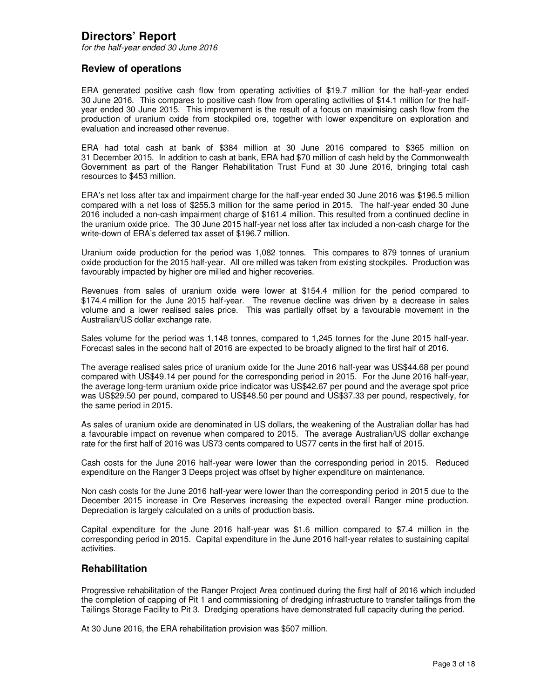## **Directors' Report**

for the half-year ended 30 June 2016

### **Review of operations**

ERA generated positive cash flow from operating activities of \$19.7 million for the half-year ended 30 June 2016. This compares to positive cash flow from operating activities of \$14.1 million for the halfyear ended 30 June 2015. This improvement is the result of a focus on maximising cash flow from the production of uranium oxide from stockpiled ore, together with lower expenditure on exploration and evaluation and increased other revenue.

ERA had total cash at bank of \$384 million at 30 June 2016 compared to \$365 million on 31 December 2015. In addition to cash at bank, ERA had \$70 million of cash held by the Commonwealth Government as part of the Ranger Rehabilitation Trust Fund at 30 June 2016, bringing total cash resources to \$453 million.

ERA's net loss after tax and impairment charge for the half-year ended 30 June 2016 was \$196.5 million compared with a net loss of \$255.3 million for the same period in 2015. The half-year ended 30 June 2016 included a non-cash impairment charge of \$161.4 million. This resulted from a continued decline in the uranium oxide price. The 30 June 2015 half-year net loss after tax included a non-cash charge for the write-down of ERA's deferred tax asset of \$196.7 million.

Uranium oxide production for the period was 1,082 tonnes. This compares to 879 tonnes of uranium oxide production for the 2015 half-year. All ore milled was taken from existing stockpiles. Production was favourably impacted by higher ore milled and higher recoveries.

Revenues from sales of uranium oxide were lower at \$154.4 million for the period compared to \$174.4 million for the June 2015 half-year. The revenue decline was driven by a decrease in sales volume and a lower realised sales price. This was partially offset by a favourable movement in the Australian/US dollar exchange rate.

Sales volume for the period was 1,148 tonnes, compared to 1,245 tonnes for the June 2015 half-year. Forecast sales in the second half of 2016 are expected to be broadly aligned to the first half of 2016.

The average realised sales price of uranium oxide for the June 2016 half-year was US\$44.68 per pound compared with US\$49.14 per pound for the corresponding period in 2015. For the June 2016 half-year, the average long-term uranium oxide price indicator was US\$42.67 per pound and the average spot price was US\$29.50 per pound, compared to US\$48.50 per pound and US\$37.33 per pound, respectively, for the same period in 2015.

As sales of uranium oxide are denominated in US dollars, the weakening of the Australian dollar has had a favourable impact on revenue when compared to 2015. The average Australian/US dollar exchange rate for the first half of 2016 was US73 cents compared to US77 cents in the first half of 2015.

Cash costs for the June 2016 half-year were lower than the corresponding period in 2015. Reduced expenditure on the Ranger 3 Deeps project was offset by higher expenditure on maintenance.

Non cash costs for the June 2016 half-year were lower than the corresponding period in 2015 due to the December 2015 increase in Ore Reserves increasing the expected overall Ranger mine production. Depreciation is largely calculated on a units of production basis.

Capital expenditure for the June 2016 half-year was \$1.6 million compared to \$7.4 million in the corresponding period in 2015. Capital expenditure in the June 2016 half-year relates to sustaining capital activities.

#### **Rehabilitation**

Progressive rehabilitation of the Ranger Project Area continued during the first half of 2016 which included the completion of capping of Pit 1 and commissioning of dredging infrastructure to transfer tailings from the Tailings Storage Facility to Pit 3. Dredging operations have demonstrated full capacity during the period.

At 30 June 2016, the ERA rehabilitation provision was \$507 million.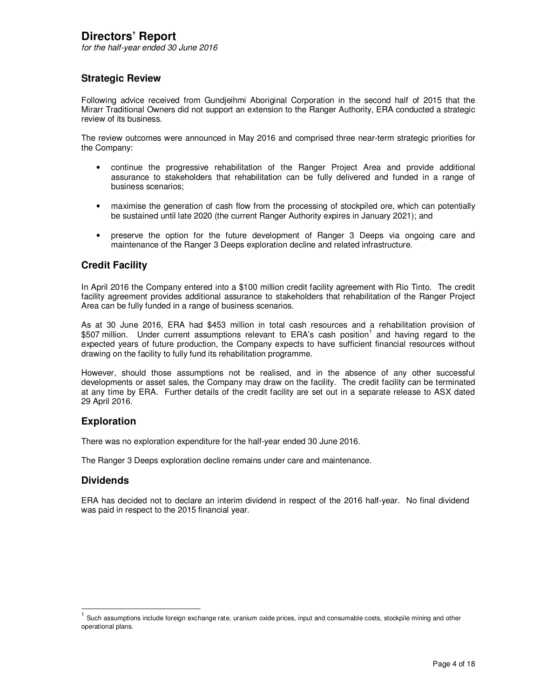for the half-year ended 30 June 2016

## **Strategic Review**

Following advice received from Gundjeihmi Aboriginal Corporation in the second half of 2015 that the Mirarr Traditional Owners did not support an extension to the Ranger Authority, ERA conducted a strategic review of its business.

The review outcomes were announced in May 2016 and comprised three near-term strategic priorities for the Company:

- continue the progressive rehabilitation of the Ranger Project Area and provide additional assurance to stakeholders that rehabilitation can be fully delivered and funded in a range of business scenarios;
- maximise the generation of cash flow from the processing of stockpiled ore, which can potentially be sustained until late 2020 (the current Ranger Authority expires in January 2021); and
- preserve the option for the future development of Ranger 3 Deeps via ongoing care and maintenance of the Ranger 3 Deeps exploration decline and related infrastructure.

## **Credit Facility**

In April 2016 the Company entered into a \$100 million credit facility agreement with Rio Tinto. The credit facility agreement provides additional assurance to stakeholders that rehabilitation of the Ranger Project Area can be fully funded in a range of business scenarios.

As at 30 June 2016, ERA had \$453 million in total cash resources and a rehabilitation provision of \$507 million. Under current assumptions relevant to ERA's cash position<sup>1</sup> and having regard to the expected years of future production, the Company expects to have sufficient financial resources without drawing on the facility to fully fund its rehabilitation programme.

However, should those assumptions not be realised, and in the absence of any other successful developments or asset sales, the Company may draw on the facility. The credit facility can be terminated at any time by ERA. Further details of the credit facility are set out in a separate release to ASX dated 29 April 2016.

### **Exploration**

There was no exploration expenditure for the half-year ended 30 June 2016.

The Ranger 3 Deeps exploration decline remains under care and maintenance.

### **Dividends**

 $\overline{\phantom{a}}$ 

ERA has decided not to declare an interim dividend in respect of the 2016 half-year. No final dividend was paid in respect to the 2015 financial year.

<sup>1</sup> Such assumptions include foreign exchange rate, uranium oxide prices, input and consumable costs, stockpile mining and other operational plans.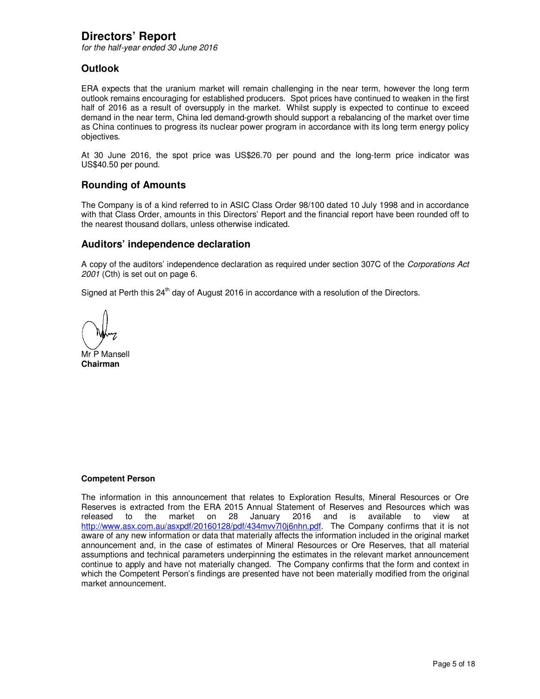## **Directors' Report**

for the half-year ended 30 June 2016

## **Outlook**

ERA expects that the uranium market will remain challenging in the near term, however the long term outlook remains encouraging for established producers. Spot prices have continued to weaken in the first half of 2016 as a result of oversupply in the market. Whilst supply is expected to continue to exceed demand in the near term, China led demand-growth should support a rebalancing of the market over time as China continues to progress its nuclear power program in accordance with its long term energy policy objectives.

At 30 June 2016, the spot price was US\$26.70 per pound and the long-term price indicator was US\$40.50 per pound.

### **Rounding of Amounts**

The Company is of a kind referred to in ASIC Class Order 98/100 dated 10 July 1998 and in accordance with that Class Order, amounts in this Directors' Report and the financial report have been rounded off to the nearest thousand dollars, unless otherwise indicated.

### **Auditors' independence declaration**

A copy of the auditors' independence declaration as required under section 307C of the Corporations Act 2001 (Cth) is set out on page 6.

Signed at Perth this  $24<sup>th</sup>$  day of August 2016 in accordance with a resolution of the Directors.

Mr P Mansell **Chairman** 

#### **Competent Person**

The information in this announcement that relates to Exploration Results, Mineral Resources or Ore Reserves is extracted from the ERA 2015 Annual Statement of Reserves and Resources which was released to the market on 28 January 2016 and is available to view at http://www.asx.com.au/asxpdf/20160128/pdf/434mvv7l0j6nhn.pdf. The Company confirms that it is not aware of any new information or data that materially affects the information included in the original market announcement and, in the case of estimates of Mineral Resources or Ore Reserves, that all material assumptions and technical parameters underpinning the estimates in the relevant market announcement continue to apply and have not materially changed. The Company confirms that the form and context in which the Competent Person's findings are presented have not been materially modified from the original market announcement.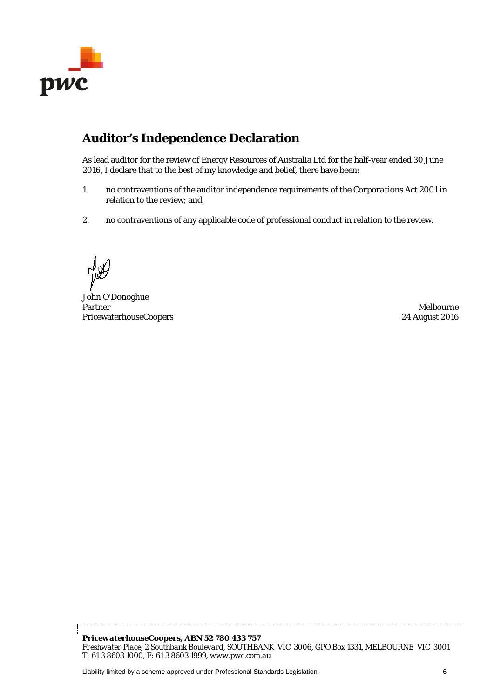

## **Auditor's Independence Declaration**

As lead auditor for the review of Energy Resources of Australia Ltd for the half-year ended 30 June 2016, I declare that to the best of my knowledge and belief, there have been:

- 1. no contraventions of the auditor independence requirements of the *Corporations Act 2001* in relation to the review; and
- 2. no contraventions of any applicable code of professional conduct in relation to the review.

John O'Donoghue Partner PricewaterhouseCoopers

Melbourne 24 August 2016

*PricewaterhouseCoopers, ABN 52 780 433 757 Freshwater Place, 2 Southbank Boulevard, SOUTHBANK VIC 3006, GPO Box 1331, MELBOURNE VIC 3001 T: 61 3 8603 1000, F: 61 3 8603 1999, www.pwc.com.au*

Liability limited by a scheme approved under Professional Standards Legislation. 6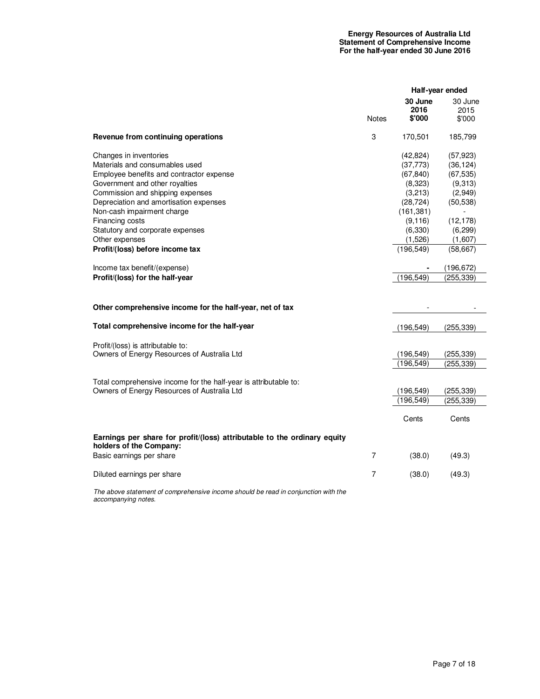|                                                                                                                                                                                                                                                                                                                                                                                                                                   |                |                                                                                                                                                   | Half-year ended                                                                                                                                     |
|-----------------------------------------------------------------------------------------------------------------------------------------------------------------------------------------------------------------------------------------------------------------------------------------------------------------------------------------------------------------------------------------------------------------------------------|----------------|---------------------------------------------------------------------------------------------------------------------------------------------------|-----------------------------------------------------------------------------------------------------------------------------------------------------|
|                                                                                                                                                                                                                                                                                                                                                                                                                                   | Notes          | 30 June<br>2016<br>\$'000                                                                                                                         | 30 June<br>2015<br>\$'000                                                                                                                           |
| Revenue from continuing operations                                                                                                                                                                                                                                                                                                                                                                                                | 3              | 170,501                                                                                                                                           | 185,799                                                                                                                                             |
| Changes in inventories<br>Materials and consumables used<br>Employee benefits and contractor expense<br>Government and other royalties<br>Commission and shipping expenses<br>Depreciation and amortisation expenses<br>Non-cash impairment charge<br>Financing costs<br>Statutory and corporate expenses<br>Other expenses<br>Profit/(loss) before income tax<br>Income tax benefit/(expense)<br>Profit/(loss) for the half-year |                | (42,824)<br>(37, 773)<br>(67, 840)<br>(8,323)<br>(3,213)<br>(28, 724)<br>(161, 381)<br>(9, 116)<br>(6,330)<br>(1,526)<br>(196, 549)<br>(196, 549) | (57, 923)<br>(36, 124)<br>(67, 535)<br>(9,313)<br>(2,949)<br>(50, 538)<br>(12, 178)<br>(6, 299)<br>(1,607)<br>(58, 667)<br>(196, 672)<br>(255, 339) |
| Other comprehensive income for the half-year, net of tax                                                                                                                                                                                                                                                                                                                                                                          |                |                                                                                                                                                   |                                                                                                                                                     |
| Total comprehensive income for the half-year                                                                                                                                                                                                                                                                                                                                                                                      |                | (196, 549)                                                                                                                                        | (255, 339)                                                                                                                                          |
| Profit/(loss) is attributable to:<br>Owners of Energy Resources of Australia Ltd                                                                                                                                                                                                                                                                                                                                                  |                | (196, 549)<br>(196, 549)                                                                                                                          | (255, 339)<br>(255, 339)                                                                                                                            |
| Total comprehensive income for the half-year is attributable to:<br>Owners of Energy Resources of Australia Ltd                                                                                                                                                                                                                                                                                                                   |                | (196,549)<br>(196, 549)                                                                                                                           | (255, 339)<br>(255, 339)                                                                                                                            |
|                                                                                                                                                                                                                                                                                                                                                                                                                                   |                | Cents                                                                                                                                             | Cents                                                                                                                                               |
| Earnings per share for profit/(loss) attributable to the ordinary equity<br>holders of the Company:<br>Basic earnings per share                                                                                                                                                                                                                                                                                                   | $\overline{7}$ | (38.0)                                                                                                                                            | (49.3)                                                                                                                                              |
| Diluted earnings per share                                                                                                                                                                                                                                                                                                                                                                                                        | $\overline{7}$ | (38.0)                                                                                                                                            | (49.3)                                                                                                                                              |

The above statement of comprehensive income should be read in conjunction with the accompanying notes.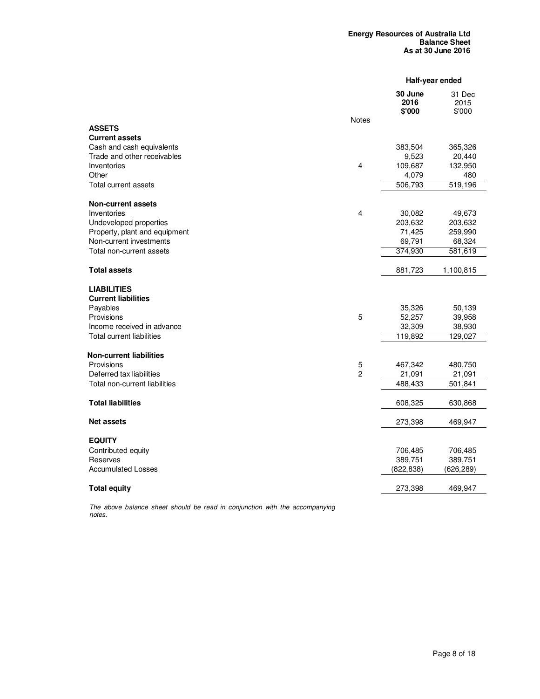|                                        |                |                           | Half-year ended          |
|----------------------------------------|----------------|---------------------------|--------------------------|
|                                        |                | 30 June<br>2016<br>\$'000 | 31 Dec<br>2015<br>\$'000 |
|                                        | <b>Notes</b>   |                           |                          |
| <b>ASSETS</b><br><b>Current assets</b> |                |                           |                          |
| Cash and cash equivalents              |                | 383,504                   | 365,326                  |
| Trade and other receivables            |                | 9,523                     | 20,440                   |
| Inventories                            | 4              | 109,687                   | 132,950                  |
| Other                                  |                | 4,079                     | 480                      |
| Total current assets                   |                | 506,793                   | 519,196                  |
| <b>Non-current assets</b>              |                |                           |                          |
| Inventories                            | 4              | 30,082                    | 49,673                   |
| Undeveloped properties                 |                | 203,632                   | 203,632                  |
| Property, plant and equipment          |                | 71,425                    | 259,990                  |
| Non-current investments                |                | 69,791                    | 68,324                   |
| Total non-current assets               |                | 374,930                   | 581,619                  |
| <b>Total assets</b>                    |                | 881,723                   | 1,100,815                |
| <b>LIABILITIES</b>                     |                |                           |                          |
| <b>Current liabilities</b>             |                |                           |                          |
| Payables                               |                | 35,326                    | 50,139                   |
| Provisions                             | 5              | 52,257                    | 39,958                   |
| Income received in advance             |                | 32,309                    | 38,930                   |
| <b>Total current liabilities</b>       |                | 119,892                   | 129,027                  |
| <b>Non-current liabilities</b>         |                |                           |                          |
| Provisions                             | 5              | 467,342                   | 480,750                  |
| Deferred tax liabilities               | $\overline{2}$ | 21,091                    | 21,091                   |
| Total non-current liabilities          |                | 488,433                   | 501,841                  |
| <b>Total liabilities</b>               |                | 608,325                   | 630,868                  |
| Net assets                             |                | 273,398                   | 469,947                  |
| <b>EQUITY</b>                          |                |                           |                          |
| Contributed equity                     |                | 706,485                   | 706,485                  |
| Reserves                               |                | 389,751                   | 389,751                  |
| <b>Accumulated Losses</b>              |                | (822, 838)                | (626, 289)               |
| <b>Total equity</b>                    |                | 273,398                   | 469,947                  |

The above balance sheet should be read in conjunction with the accompanying notes.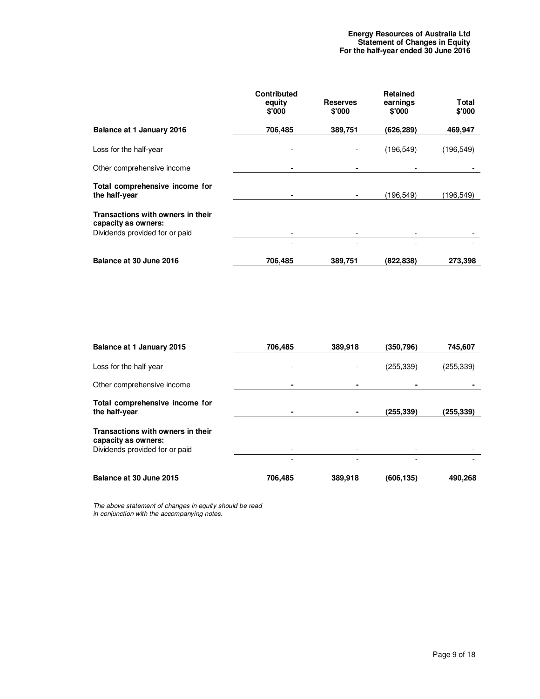|                                                                                            | <b>Contributed</b><br>equity<br>\$'000 | <b>Reserves</b><br>\$'000 | <b>Retained</b><br>earnings<br>\$'000 | Total<br>\$'000 |
|--------------------------------------------------------------------------------------------|----------------------------------------|---------------------------|---------------------------------------|-----------------|
| Balance at 1 January 2016                                                                  | 706,485                                | 389,751                   | (626,289)                             | 469,947         |
| Loss for the half-year                                                                     | -                                      |                           | (196, 549)                            | (196, 549)      |
| Other comprehensive income                                                                 | ٠                                      |                           |                                       |                 |
| Total comprehensive income for<br>the half-year                                            | ٠                                      |                           | (196,549)                             | (196,549)       |
| Transactions with owners in their<br>capacity as owners:<br>Dividends provided for or paid |                                        |                           |                                       |                 |
|                                                                                            | $\overline{\phantom{0}}$               |                           |                                       |                 |
| Balance at 30 June 2016                                                                    | 706,485                                | 389,751                   | (822,838)                             | 273,398         |

| Balance at 1 January 2015                                | 706,485 | 389,918 | (350,796)  | 745,607    |
|----------------------------------------------------------|---------|---------|------------|------------|
| Loss for the half-year                                   |         |         | (255, 339) | (255, 339) |
| Other comprehensive income                               |         |         |            |            |
| Total comprehensive income for<br>the half-year          |         |         | (255,339)  | (255, 339) |
| Transactions with owners in their<br>capacity as owners: |         |         |            |            |
| Dividends provided for or paid                           |         |         |            |            |
|                                                          |         |         |            |            |
| Balance at 30 June 2015                                  | 706,485 | 389,918 | (606.135)  | 490,268    |

The above statement of changes in equity should be read in conjunction with the accompanying notes.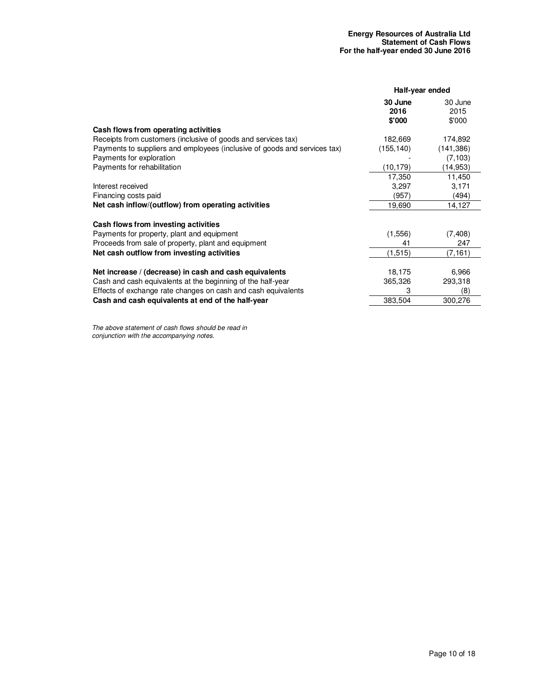|                                                                           | Half-year ended           |                           |
|---------------------------------------------------------------------------|---------------------------|---------------------------|
|                                                                           | 30 June<br>2016<br>\$'000 | 30 June<br>2015<br>\$'000 |
| Cash flows from operating activities                                      |                           |                           |
| Receipts from customers (inclusive of goods and services tax)             | 182,669                   | 174,892                   |
| Payments to suppliers and employees (inclusive of goods and services tax) | (155, 140)                | (141, 386)                |
| Payments for exploration                                                  |                           | (7, 103)                  |
| Payments for rehabilitation                                               | (10, 179)                 | (14, 953)                 |
|                                                                           | 17,350                    | 11,450                    |
| Interest received                                                         | 3,297                     | 3,171                     |
| Financing costs paid                                                      | (957)                     | (494)                     |
| Net cash inflow/(outflow) from operating activities                       | 19,690                    | 14,127                    |
| Cash flows from investing activities                                      |                           |                           |
| Payments for property, plant and equipment                                | (1,556)                   | (7, 408)                  |
| Proceeds from sale of property, plant and equipment                       | 41                        | 247                       |
| Net cash outflow from investing activities                                | (1,515)                   | (7, 161)                  |
| Net increase / (decrease) in cash and cash equivalents                    | 18,175                    | 6,966                     |
| Cash and cash equivalents at the beginning of the half-year               | 365,326                   | 293,318                   |
| Effects of exchange rate changes on cash and cash equivalents             | 3                         | (8)                       |
| Cash and cash equivalents at end of the half-year                         | 383,504                   | 300,276                   |
|                                                                           |                           |                           |

The above statement of cash flows should be read in conjunction with the accompanying notes.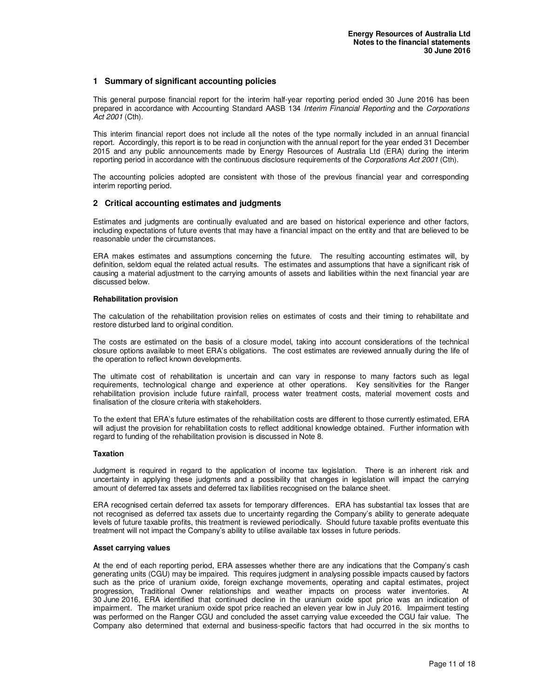#### **1 Summary of significant accounting policies**

This general purpose financial report for the interim half-year reporting period ended 30 June 2016 has been prepared in accordance with Accounting Standard AASB 134 Interim Financial Reporting and the Corporations Act 2001 (Cth).

This interim financial report does not include all the notes of the type normally included in an annual financial report. Accordingly, this report is to be read in conjunction with the annual report for the year ended 31 December 2015 and any public announcements made by Energy Resources of Australia Ltd (ERA) during the interim reporting period in accordance with the continuous disclosure requirements of the Corporations Act 2001 (Cth).

The accounting policies adopted are consistent with those of the previous financial year and corresponding interim reporting period.

#### **2 Critical accounting estimates and judgments**

Estimates and judgments are continually evaluated and are based on historical experience and other factors, including expectations of future events that may have a financial impact on the entity and that are believed to be reasonable under the circumstances.

ERA makes estimates and assumptions concerning the future. The resulting accounting estimates will, by definition, seldom equal the related actual results. The estimates and assumptions that have a significant risk of causing a material adjustment to the carrying amounts of assets and liabilities within the next financial year are discussed below.

#### **Rehabilitation provision**

The calculation of the rehabilitation provision relies on estimates of costs and their timing to rehabilitate and restore disturbed land to original condition.

The costs are estimated on the basis of a closure model, taking into account considerations of the technical closure options available to meet ERA's obligations. The cost estimates are reviewed annually during the life of the operation to reflect known developments.

The ultimate cost of rehabilitation is uncertain and can vary in response to many factors such as legal requirements, technological change and experience at other operations. Key sensitivities for the Ranger rehabilitation provision include future rainfall, process water treatment costs, material movement costs and finalisation of the closure criteria with stakeholders.

To the extent that ERA's future estimates of the rehabilitation costs are different to those currently estimated, ERA will adjust the provision for rehabilitation costs to reflect additional knowledge obtained. Further information with regard to funding of the rehabilitation provision is discussed in Note 8.

#### **Taxation**

Judgment is required in regard to the application of income tax legislation. There is an inherent risk and uncertainty in applying these judgments and a possibility that changes in legislation will impact the carrying amount of deferred tax assets and deferred tax liabilities recognised on the balance sheet.

ERA recognised certain deferred tax assets for temporary differences. ERA has substantial tax losses that are not recognised as deferred tax assets due to uncertainty regarding the Company's ability to generate adequate levels of future taxable profits, this treatment is reviewed periodically. Should future taxable profits eventuate this treatment will not impact the Company's ability to utilise available tax losses in future periods.

#### **Asset carrying values**

At the end of each reporting period, ERA assesses whether there are any indications that the Company's cash generating units (CGU) may be impaired. This requires judgment in analysing possible impacts caused by factors such as the price of uranium oxide, foreign exchange movements, operating and capital estimates, project progression, Traditional Owner relationships and weather impacts on process water inventories. At 30 June 2016, ERA identified that continued decline in the uranium oxide spot price was an indication of impairment. The market uranium oxide spot price reached an eleven year low in July 2016. Impairment testing was performed on the Ranger CGU and concluded the asset carrying value exceeded the CGU fair value. The Company also determined that external and business-specific factors that had occurred in the six months to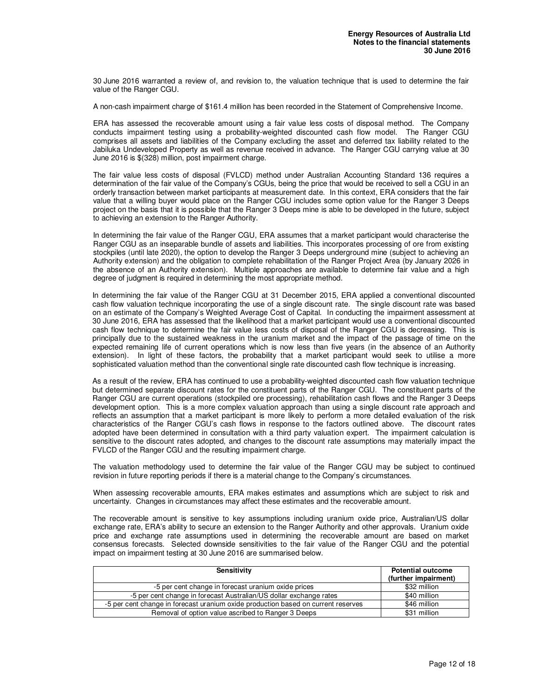30 June 2016 warranted a review of, and revision to, the valuation technique that is used to determine the fair value of the Ranger CGU.

A non-cash impairment charge of \$161.4 million has been recorded in the Statement of Comprehensive Income.

ERA has assessed the recoverable amount using a fair value less costs of disposal method. The Company conducts impairment testing using a probability-weighted discounted cash flow model. The Ranger CGU comprises all assets and liabilities of the Company excluding the asset and deferred tax liability related to the Jabiluka Undeveloped Property as well as revenue received in advance. The Ranger CGU carrying value at 30 June 2016 is \$(328) million, post impairment charge.

The fair value less costs of disposal (FVLCD) method under Australian Accounting Standard 136 requires a determination of the fair value of the Company's CGUs, being the price that would be received to sell a CGU in an orderly transaction between market participants at measurement date. In this context, ERA considers that the fair value that a willing buyer would place on the Ranger CGU includes some option value for the Ranger 3 Deeps project on the basis that it is possible that the Ranger 3 Deeps mine is able to be developed in the future, subject to achieving an extension to the Ranger Authority.

In determining the fair value of the Ranger CGU, ERA assumes that a market participant would characterise the Ranger CGU as an inseparable bundle of assets and liabilities. This incorporates processing of ore from existing stockpiles (until late 2020), the option to develop the Ranger 3 Deeps underground mine (subject to achieving an Authority extension) and the obligation to complete rehabilitation of the Ranger Project Area (by January 2026 in the absence of an Authority extension). Multiple approaches are available to determine fair value and a high degree of judgment is required in determining the most appropriate method.

In determining the fair value of the Ranger CGU at 31 December 2015, ERA applied a conventional discounted cash flow valuation technique incorporating the use of a single discount rate. The single discount rate was based on an estimate of the Company's Weighted Average Cost of Capital. In conducting the impairment assessment at 30 June 2016, ERA has assessed that the likelihood that a market participant would use a conventional discounted cash flow technique to determine the fair value less costs of disposal of the Ranger CGU is decreasing. This is principally due to the sustained weakness in the uranium market and the impact of the passage of time on the expected remaining life of current operations which is now less than five years (in the absence of an Authority extension). In light of these factors, the probability that a market participant would seek to utilise a more sophisticated valuation method than the conventional single rate discounted cash flow technique is increasing.

As a result of the review, ERA has continued to use a probability-weighted discounted cash flow valuation technique but determined separate discount rates for the constituent parts of the Ranger CGU. The constituent parts of the Ranger CGU are current operations (stockpiled ore processing), rehabilitation cash flows and the Ranger 3 Deeps development option. This is a more complex valuation approach than using a single discount rate approach and reflects an assumption that a market participant is more likely to perform a more detailed evaluation of the risk characteristics of the Ranger CGU's cash flows in response to the factors outlined above. The discount rates adopted have been determined in consultation with a third party valuation expert. The impairment calculation is sensitive to the discount rates adopted, and changes to the discount rate assumptions may materially impact the FVLCD of the Ranger CGU and the resulting impairment charge.

The valuation methodology used to determine the fair value of the Ranger CGU may be subject to continued revision in future reporting periods if there is a material change to the Company's circumstances.

When assessing recoverable amounts, ERA makes estimates and assumptions which are subject to risk and uncertainty. Changes in circumstances may affect these estimates and the recoverable amount.

The recoverable amount is sensitive to key assumptions including uranium oxide price, Australian/US dollar exchange rate, ERA's ability to secure an extension to the Ranger Authority and other approvals. Uranium oxide price and exchange rate assumptions used in determining the recoverable amount are based on market consensus forecasts. Selected downside sensitivities to the fair value of the Ranger CGU and the potential impact on impairment testing at 30 June 2016 are summarised below.

| Sensitivity                                                                       | <b>Potential outcome</b><br>(further impairment) |
|-----------------------------------------------------------------------------------|--------------------------------------------------|
| -5 per cent change in forecast uranium oxide prices                               | \$32 million                                     |
| -5 per cent change in forecast Australian/US dollar exchange rates                | \$40 million                                     |
| -5 per cent change in forecast uranium oxide production based on current reserves | \$46 million                                     |
| Removal of option value ascribed to Ranger 3 Deeps                                | \$31 million                                     |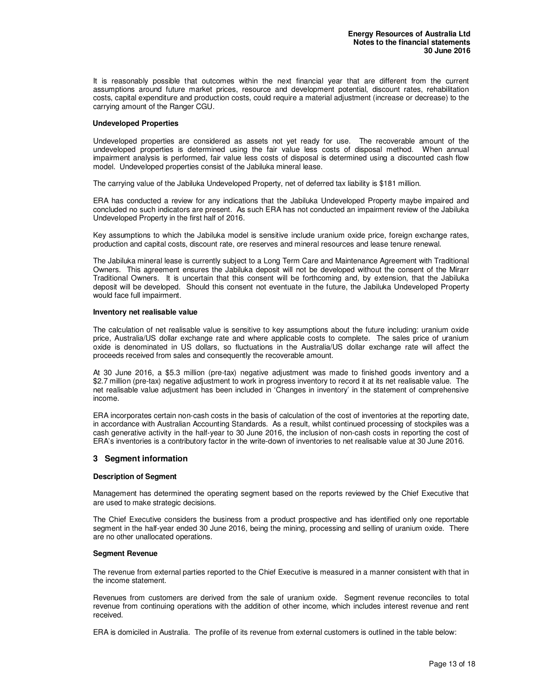It is reasonably possible that outcomes within the next financial year that are different from the current assumptions around future market prices, resource and development potential, discount rates, rehabilitation costs, capital expenditure and production costs, could require a material adjustment (increase or decrease) to the carrying amount of the Ranger CGU.

#### **Undeveloped Properties**

Undeveloped properties are considered as assets not yet ready for use. The recoverable amount of the undeveloped properties is determined using the fair value less costs of disposal method. When annual impairment analysis is performed, fair value less costs of disposal is determined using a discounted cash flow model. Undeveloped properties consist of the Jabiluka mineral lease.

The carrying value of the Jabiluka Undeveloped Property, net of deferred tax liability is \$181 million.

ERA has conducted a review for any indications that the Jabiluka Undeveloped Property maybe impaired and concluded no such indicators are present. As such ERA has not conducted an impairment review of the Jabiluka Undeveloped Property in the first half of 2016.

Key assumptions to which the Jabiluka model is sensitive include uranium oxide price, foreign exchange rates, production and capital costs, discount rate, ore reserves and mineral resources and lease tenure renewal.

The Jabiluka mineral lease is currently subject to a Long Term Care and Maintenance Agreement with Traditional Owners. This agreement ensures the Jabiluka deposit will not be developed without the consent of the Mirarr Traditional Owners. It is uncertain that this consent will be forthcoming and, by extension, that the Jabiluka deposit will be developed. Should this consent not eventuate in the future, the Jabiluka Undeveloped Property would face full impairment.

#### **Inventory net realisable value**

The calculation of net realisable value is sensitive to key assumptions about the future including: uranium oxide price, Australia/US dollar exchange rate and where applicable costs to complete. The sales price of uranium oxide is denominated in US dollars, so fluctuations in the Australia/US dollar exchange rate will affect the proceeds received from sales and consequently the recoverable amount.

At 30 June 2016, a \$5.3 million (pre-tax) negative adjustment was made to finished goods inventory and a \$2.7 million (pre-tax) negative adjustment to work in progress inventory to record it at its net realisable value. The net realisable value adjustment has been included in 'Changes in inventory' in the statement of comprehensive income.

ERA incorporates certain non-cash costs in the basis of calculation of the cost of inventories at the reporting date, in accordance with Australian Accounting Standards. As a result, whilst continued processing of stockpiles was a cash generative activity in the half-year to 30 June 2016, the inclusion of non-cash costs in reporting the cost of ERA's inventories is a contributory factor in the write-down of inventories to net realisable value at 30 June 2016.

#### **3 Segment information**

#### **Description of Segment**

Management has determined the operating segment based on the reports reviewed by the Chief Executive that are used to make strategic decisions.

The Chief Executive considers the business from a product prospective and has identified only one reportable segment in the half-year ended 30 June 2016, being the mining, processing and selling of uranium oxide. There are no other unallocated operations.

#### **Segment Revenue**

The revenue from external parties reported to the Chief Executive is measured in a manner consistent with that in the income statement.

Revenues from customers are derived from the sale of uranium oxide. Segment revenue reconciles to total revenue from continuing operations with the addition of other income, which includes interest revenue and rent received.

ERA is domiciled in Australia. The profile of its revenue from external customers is outlined in the table below: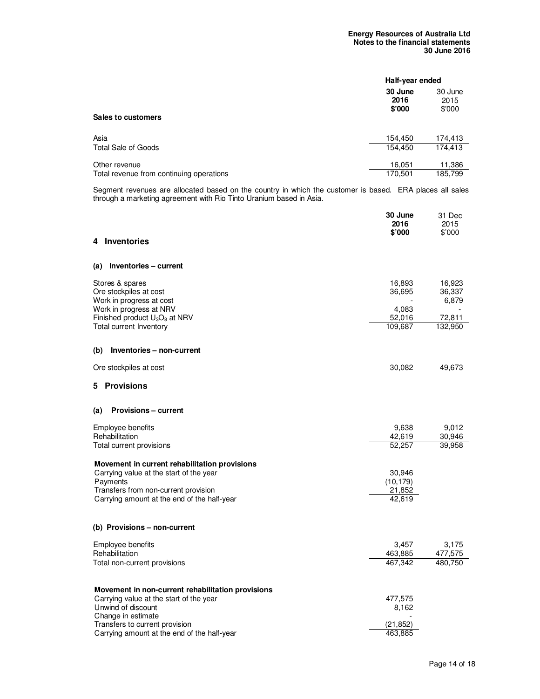|                                          | Half-year ended           |                           |
|------------------------------------------|---------------------------|---------------------------|
| Sales to customers                       | 30 June<br>2016<br>\$'000 | 30 June<br>2015<br>\$'000 |
| Asia                                     | 154,450                   | 174.413                   |
| Total Sale of Goods                      | 154,450                   | 174,413                   |
| Other revenue                            | 16,051                    | 11,386                    |
| Total revenue from continuing operations | 170,501                   | 185,799                   |

Segment revenues are allocated based on the country in which the customer is based. ERA places all sales through a marketing agreement with Rio Tinto Uranium based in Asia.

|                                                               | 30 June<br>2016<br>\$'000 | 31 Dec<br>2015<br>\$'000 |
|---------------------------------------------------------------|---------------------------|--------------------------|
| <b>Inventories</b><br>4                                       |                           |                          |
| Inventories - current<br>(a)                                  |                           |                          |
| Stores & spares<br>Ore stockpiles at cost                     | 16,893<br>36,695          | 16,923<br>36,337         |
| Work in progress at cost                                      |                           | 6,879                    |
| Work in progress at NRV<br>Finished product $U_3O_8$ at NRV   | 4,083<br>52,016           | 72,811                   |
| Total current Inventory                                       | 109,687                   | 132,950                  |
| Inventories - non-current<br>(b)                              |                           |                          |
| Ore stockpiles at cost                                        | 30,082                    | 49,673                   |
| <b>Provisions</b><br>5.                                       |                           |                          |
| <b>Provisions – current</b><br>(a)                            |                           |                          |
| Employee benefits                                             | 9,638                     | 9,012                    |
| Rehabilitation<br>Total current provisions                    | 42,619<br>52,257          | 30,946<br>39,958         |
| Movement in current rehabilitation provisions                 |                           |                          |
| Carrying value at the start of the year                       | 30,946                    |                          |
| Payments<br>Transfers from non-current provision              | (10, 179)<br>21,852       |                          |
| Carrying amount at the end of the half-year                   | 42,619                    |                          |
| (b) Provisions – non-current                                  |                           |                          |
| Employee benefits                                             | 3,457                     | 3,175                    |
| Rehabilitation<br>Total non-current provisions                | 463,885<br>467,342        | 477,575<br>480,750       |
|                                                               |                           |                          |
| Movement in non-current rehabilitation provisions             |                           |                          |
| Carrying value at the start of the year<br>Unwind of discount | 477,575<br>8,162          |                          |
| Change in estimate                                            |                           |                          |
| Transfers to current provision                                | (21,852)                  |                          |
| Carrying amount at the end of the half-year                   | 463,885                   |                          |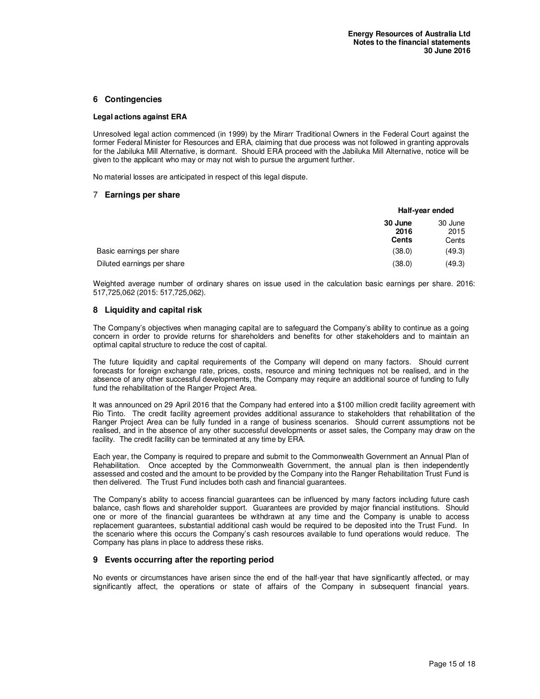#### **6 Contingencies**

#### **Legal actions against ERA**

Unresolved legal action commenced (in 1999) by the Mirarr Traditional Owners in the Federal Court against the former Federal Minister for Resources and ERA, claiming that due process was not followed in granting approvals for the Jabiluka Mill Alternative, is dormant. Should ERA proceed with the Jabiluka Mill Alternative, notice will be given to the applicant who may or may not wish to pursue the argument further.

No material losses are anticipated in respect of this legal dispute.

#### 7 **Earnings per share**

|                            |                                 | Half-year ended          |  |
|----------------------------|---------------------------------|--------------------------|--|
|                            | 30 June<br>2016<br><b>Cents</b> | 30 June<br>2015<br>Cents |  |
| Basic earnings per share   | (38.0)                          | (49.3)                   |  |
| Diluted earnings per share | (38.0)                          | (49.3)                   |  |

Weighted average number of ordinary shares on issue used in the calculation basic earnings per share. 2016: 517,725,062 (2015: 517,725,062).

#### **8 Liquidity and capital risk**

The Company's objectives when managing capital are to safeguard the Company's ability to continue as a going concern in order to provide returns for shareholders and benefits for other stakeholders and to maintain an optimal capital structure to reduce the cost of capital.

The future liquidity and capital requirements of the Company will depend on many factors. Should current forecasts for foreign exchange rate, prices, costs, resource and mining techniques not be realised, and in the absence of any other successful developments, the Company may require an additional source of funding to fully fund the rehabilitation of the Ranger Project Area.

It was announced on 29 April 2016 that the Company had entered into a \$100 million credit facility agreement with Rio Tinto. The credit facility agreement provides additional assurance to stakeholders that rehabilitation of the Ranger Project Area can be fully funded in a range of business scenarios. Should current assumptions not be realised, and in the absence of any other successful developments or asset sales, the Company may draw on the facility. The credit facility can be terminated at any time by ERA.

Each year, the Company is required to prepare and submit to the Commonwealth Government an Annual Plan of Rehabilitation. Once accepted by the Commonwealth Government, the annual plan is then independently assessed and costed and the amount to be provided by the Company into the Ranger Rehabilitation Trust Fund is then delivered. The Trust Fund includes both cash and financial guarantees.

The Company's ability to access financial guarantees can be influenced by many factors including future cash balance, cash flows and shareholder support. Guarantees are provided by major financial institutions. Should one or more of the financial guarantees be withdrawn at any time and the Company is unable to access replacement guarantees, substantial additional cash would be required to be deposited into the Trust Fund. In the scenario where this occurs the Company's cash resources available to fund operations would reduce. The Company has plans in place to address these risks.

#### **9 Events occurring after the reporting period**

No events or circumstances have arisen since the end of the half-year that have significantly affected, or may significantly affect, the operations or state of affairs of the Company in subsequent financial years.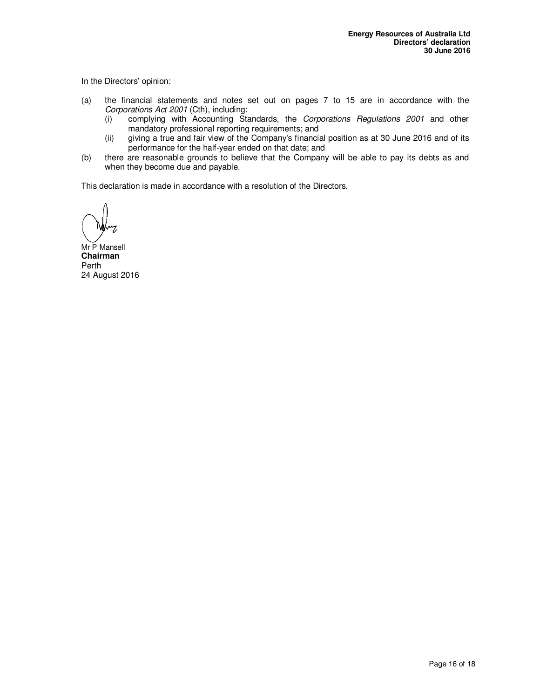In the Directors' opinion:

- (a) the financial statements and notes set out on pages 7 to 15 are in accordance with the Corporations Act 2001 (Cth), including:
	- (i) complying with Accounting Standards, the Corporations Regulations 2001 and other mandatory professional reporting requirements; and
	- (ii) giving a true and fair view of the Company's financial position as at 30 June 2016 and of its performance for the half-year ended on that date; and
- (b) there are reasonable grounds to believe that the Company will be able to pay its debts as and when they become due and payable.

This declaration is made in accordance with a resolution of the Directors.

Mr P Mansell **Chairman**  Perth 24 August 2016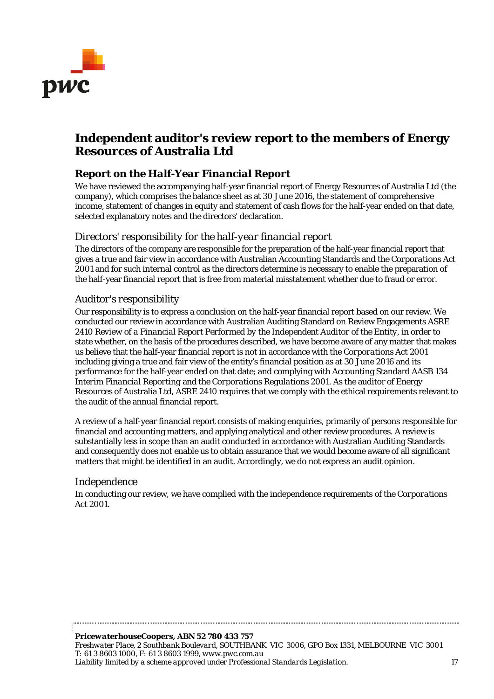

## **Independent auditor's review report to the members of Energy Resources of Australia Ltd**

## *Report on the Half-Year Financial Report*

We have reviewed the accompanying half-year financial report of Energy Resources of Australia Ltd (the company), which comprises the balance sheet as at 30 June 2016, the statement of comprehensive income, statement of changes in equity and statement of cash flows for the half-year ended on that date, selected explanatory notes and the directors' declaration.

## *Directors' responsibility for the half-year financial report*

The directors of the company are responsible for the preparation of the half-year financial report that gives a true and fair view in accordance with Australian Accounting Standards and the *Corporations Act 2001* and for such internal control as the directors determine is necessary to enable the preparation of the half-year financial report that is free from material misstatement whether due to fraud or error.

## *Auditor's responsibility*

Our responsibility is to express a conclusion on the half-year financial report based on our review. We conducted our review in accordance with Australian Auditing Standard on Review Engagements ASRE 2410 *Review of a Financial Report Performed by the Independent Auditor of the Entity*, in order to state whether, on the basis of the procedures described, we have become aware of any matter that makes us believe that the half-year financial report is not in accordance with the *Corporations Act 2001* including giving a true and fair view of the entity's financial position as at 30 June 2016 and its performance for the half-year ended on that date; and complying with Accounting Standard AASB 134 *Interim Financial Reporting* and the *Corporations Regulations 2001*. As the auditor of Energy Resources of Australia Ltd, ASRE 2410 requires that we comply with the ethical requirements relevant to the audit of the annual financial report.

A review of a half-year financial report consists of making enquiries, primarily of persons responsible for financial and accounting matters, and applying analytical and other review procedures. A review is substantially less in scope than an audit conducted in accordance with Australian Auditing Standards and consequently does not enable us to obtain assurance that we would become aware of all significant matters that might be identified in an audit. Accordingly, we do not express an audit opinion.

## *Independence*

In conducting our review, we have complied with the independence requirements of the *Corporations Act 2001*.